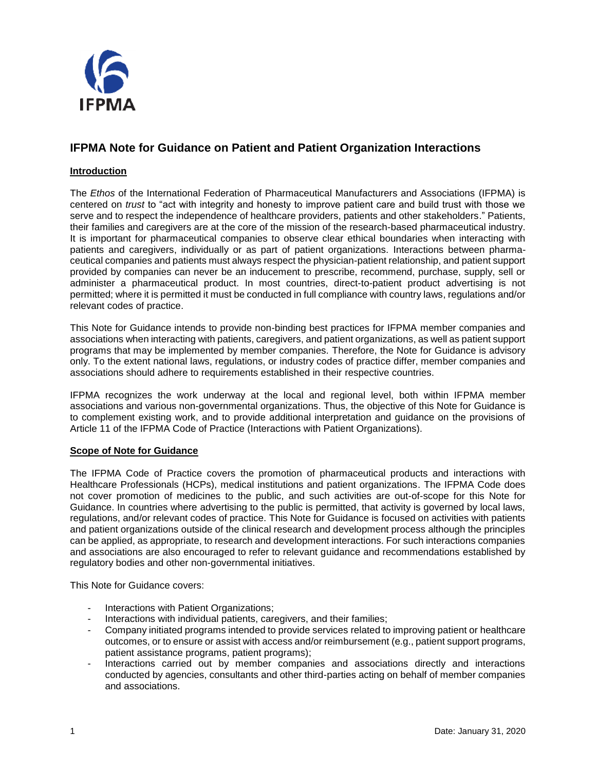

# **IFPMA Note for Guidance on Patient and Patient Organization Interactions**

# **Introduction**

The *Ethos* of the International Federation of Pharmaceutical Manufacturers and Associations (IFPMA) is centered on *trust* to "act with integrity and honesty to improve patient care and build trust with those we serve and to respect the independence of healthcare providers, patients and other stakeholders." Patients, their families and caregivers are at the core of the mission of the research-based pharmaceutical industry. It is important for pharmaceutical companies to observe clear ethical boundaries when interacting with patients and caregivers, individually or as part of patient organizations. Interactions between pharmaceutical companies and patients must always respect the physician-patient relationship, and patient support provided by companies can never be an inducement to prescribe, recommend, purchase, supply, sell or administer a pharmaceutical product. In most countries, direct-to-patient product advertising is not permitted; where it is permitted it must be conducted in full compliance with country laws, regulations and/or relevant codes of practice.

This Note for Guidance intends to provide non-binding best practices for IFPMA member companies and associations when interacting with patients, caregivers, and patient organizations, as well as patient support programs that may be implemented by member companies. Therefore, the Note for Guidance is advisory only. To the extent national laws, regulations, or industry codes of practice differ, member companies and associations should adhere to requirements established in their respective countries.

IFPMA recognizes the work underway at the local and regional level, both within IFPMA member associations and various non-governmental organizations. Thus, the objective of this Note for Guidance is to complement existing work, and to provide additional interpretation and guidance on the provisions of Article 11 of the IFPMA Code of Practice (Interactions with Patient Organizations).

#### **Scope of Note for Guidance**

The IFPMA Code of Practice covers the promotion of pharmaceutical products and interactions with Healthcare Professionals (HCPs), medical institutions and patient organizations. The IFPMA Code does not cover promotion of medicines to the public, and such activities are out-of-scope for this Note for Guidance. In countries where advertising to the public is permitted, that activity is governed by local laws, regulations, and/or relevant codes of practice. This Note for Guidance is focused on activities with patients and patient organizations outside of the clinical research and development process although the principles can be applied, as appropriate, to research and development interactions. For such interactions companies and associations are also encouraged to refer to relevant guidance and recommendations established by regulatory bodies and other non-governmental initiatives.

This Note for Guidance covers:

- Interactions with Patient Organizations;
- Interactions with individual patients, caregivers, and their families;
- Company initiated programs intended to provide services related to improving patient or healthcare outcomes, or to ensure or assist with access and/or reimbursement (e.g., patient support programs, patient assistance programs, patient programs);
- Interactions carried out by member companies and associations directly and interactions conducted by agencies, consultants and other third-parties acting on behalf of member companies and associations.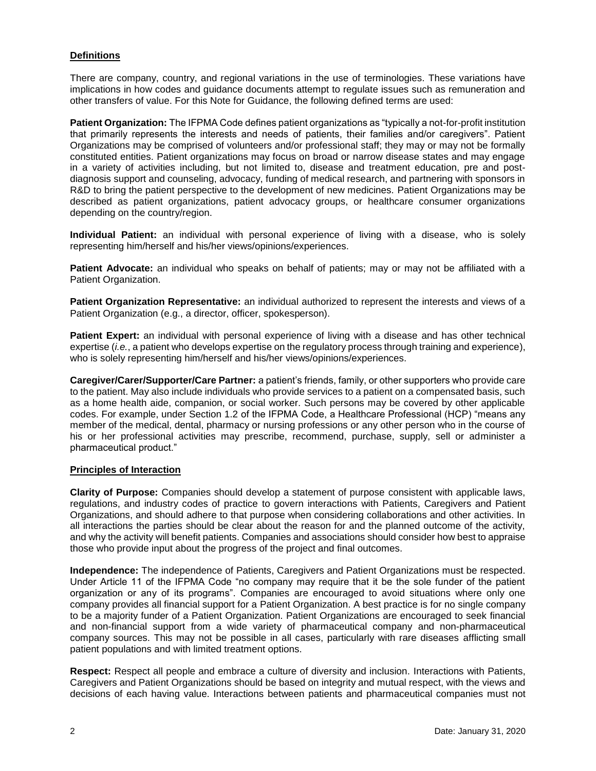# **Definitions**

There are company, country, and regional variations in the use of terminologies. These variations have implications in how codes and guidance documents attempt to regulate issues such as remuneration and other transfers of value. For this Note for Guidance, the following defined terms are used:

**Patient Organization:** The IFPMA Code defines patient organizations as "typically a not-for-profit institution that primarily represents the interests and needs of patients, their families and/or caregivers". Patient Organizations may be comprised of volunteers and/or professional staff; they may or may not be formally constituted entities. Patient organizations may focus on broad or narrow disease states and may engage in a variety of activities including, but not limited to, disease and treatment education, pre and postdiagnosis support and counseling, advocacy, funding of medical research, and partnering with sponsors in R&D to bring the patient perspective to the development of new medicines. Patient Organizations may be described as patient organizations, patient advocacy groups, or healthcare consumer organizations depending on the country/region.

**Individual Patient:** an individual with personal experience of living with a disease, who is solely representing him/herself and his/her views/opinions/experiences.

**Patient Advocate:** an individual who speaks on behalf of patients; may or may not be affiliated with a Patient Organization.

**Patient Organization Representative:** an individual authorized to represent the interests and views of a Patient Organization (e.g., a director, officer, spokesperson).

**Patient Expert:** an individual with personal experience of living with a disease and has other technical expertise (*i.e.*, a patient who develops expertise on the regulatory process through training and experience), who is solely representing him/herself and his/her views/opinions/experiences.

**Caregiver/Carer/Supporter/Care Partner:** a patient's friends, family, or other supporters who provide care to the patient. May also include individuals who provide services to a patient on a compensated basis, such as a home health aide, companion, or social worker. Such persons may be covered by other applicable codes. For example, under Section 1.2 of the IFPMA Code, a Healthcare Professional (HCP) "means any member of the medical, dental, pharmacy or nursing professions or any other person who in the course of his or her professional activities may prescribe, recommend, purchase, supply, sell or administer a pharmaceutical product."

#### **Principles of Interaction**

**Clarity of Purpose:** Companies should develop a statement of purpose consistent with applicable laws, regulations, and industry codes of practice to govern interactions with Patients, Caregivers and Patient Organizations, and should adhere to that purpose when considering collaborations and other activities. In all interactions the parties should be clear about the reason for and the planned outcome of the activity, and why the activity will benefit patients. Companies and associations should consider how best to appraise those who provide input about the progress of the project and final outcomes.

**Independence:** The independence of Patients, Caregivers and Patient Organizations must be respected. Under Article 11 of the IFPMA Code "no company may require that it be the sole funder of the patient organization or any of its programs". Companies are encouraged to avoid situations where only one company provides all financial support for a Patient Organization. A best practice is for no single company to be a majority funder of a Patient Organization. Patient Organizations are encouraged to seek financial and non-financial support from a wide variety of pharmaceutical company and non-pharmaceutical company sources. This may not be possible in all cases, particularly with rare diseases afflicting small patient populations and with limited treatment options.

**Respect:** Respect all people and embrace a culture of diversity and inclusion. Interactions with Patients, Caregivers and Patient Organizations should be based on integrity and mutual respect, with the views and decisions of each having value. Interactions between patients and pharmaceutical companies must not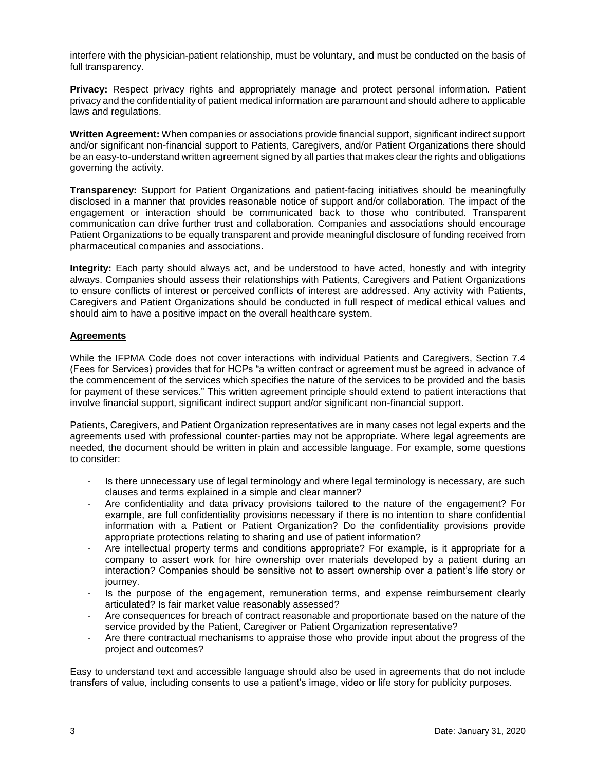interfere with the physician-patient relationship, must be voluntary, and must be conducted on the basis of full transparency.

**Privacy:** Respect privacy rights and appropriately manage and protect personal information. Patient privacy and the confidentiality of patient medical information are paramount and should adhere to applicable laws and regulations.

**Written Agreement:** When companies or associations provide financial support, significant indirect support and/or significant non-financial support to Patients, Caregivers, and/or Patient Organizations there should be an easy-to-understand written agreement signed by all parties that makes clear the rights and obligations governing the activity.

**Transparency:** Support for Patient Organizations and patient-facing initiatives should be meaningfully disclosed in a manner that provides reasonable notice of support and/or collaboration. The impact of the engagement or interaction should be communicated back to those who contributed. Transparent communication can drive further trust and collaboration. Companies and associations should encourage Patient Organizations to be equally transparent and provide meaningful disclosure of funding received from pharmaceutical companies and associations.

**Integrity:** Each party should always act, and be understood to have acted, honestly and with integrity always. Companies should assess their relationships with Patients, Caregivers and Patient Organizations to ensure conflicts of interest or perceived conflicts of interest are addressed. Any activity with Patients, Caregivers and Patient Organizations should be conducted in full respect of medical ethical values and should aim to have a positive impact on the overall healthcare system.

#### **Agreements**

While the IFPMA Code does not cover interactions with individual Patients and Caregivers, Section 7.4 (Fees for Services) provides that for HCPs "a written contract or agreement must be agreed in advance of the commencement of the services which specifies the nature of the services to be provided and the basis for payment of these services." This written agreement principle should extend to patient interactions that involve financial support, significant indirect support and/or significant non-financial support.

Patients, Caregivers, and Patient Organization representatives are in many cases not legal experts and the agreements used with professional counter-parties may not be appropriate. Where legal agreements are needed, the document should be written in plain and accessible language. For example, some questions to consider:

- Is there unnecessary use of legal terminology and where legal terminology is necessary, are such clauses and terms explained in a simple and clear manner?
- Are confidentiality and data privacy provisions tailored to the nature of the engagement? For example, are full confidentiality provisions necessary if there is no intention to share confidential information with a Patient or Patient Organization? Do the confidentiality provisions provide appropriate protections relating to sharing and use of patient information?
- Are intellectual property terms and conditions appropriate? For example, is it appropriate for a company to assert work for hire ownership over materials developed by a patient during an interaction? Companies should be sensitive not to assert ownership over a patient's life story or journey.
- Is the purpose of the engagement, remuneration terms, and expense reimbursement clearly articulated? Is fair market value reasonably assessed?
- Are consequences for breach of contract reasonable and proportionate based on the nature of the service provided by the Patient, Caregiver or Patient Organization representative?
- Are there contractual mechanisms to appraise those who provide input about the progress of the project and outcomes?

Easy to understand text and accessible language should also be used in agreements that do not include transfers of value, including consents to use a patient's image, video or life story for publicity purposes.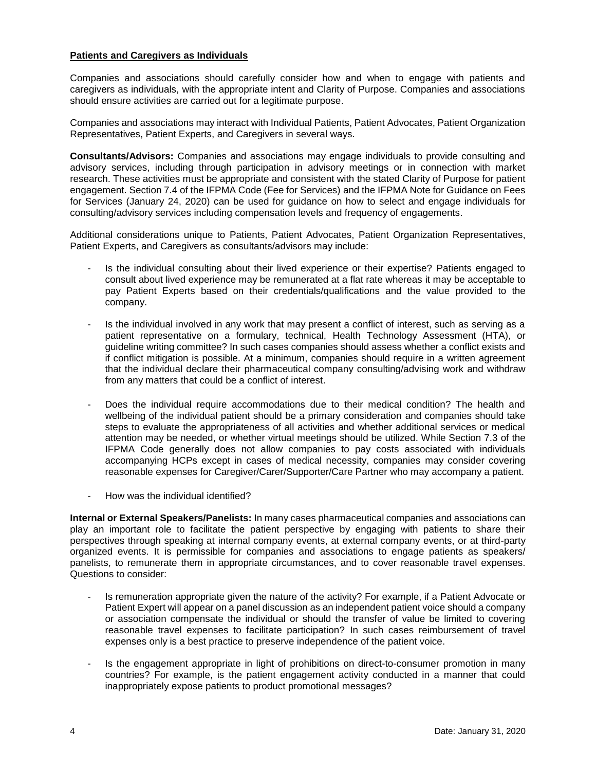### **Patients and Caregivers as Individuals**

Companies and associations should carefully consider how and when to engage with patients and caregivers as individuals, with the appropriate intent and Clarity of Purpose. Companies and associations should ensure activities are carried out for a legitimate purpose.

Companies and associations may interact with Individual Patients, Patient Advocates, Patient Organization Representatives, Patient Experts, and Caregivers in several ways.

**Consultants/Advisors:** Companies and associations may engage individuals to provide consulting and advisory services, including through participation in advisory meetings or in connection with market research. These activities must be appropriate and consistent with the stated Clarity of Purpose for patient engagement. Section 7.4 of the IFPMA Code (Fee for Services) and the IFPMA Note for Guidance on Fees for Services (January 24, 2020) can be used for guidance on how to select and engage individuals for consulting/advisory services including compensation levels and frequency of engagements.

Additional considerations unique to Patients, Patient Advocates, Patient Organization Representatives, Patient Experts, and Caregivers as consultants/advisors may include:

- Is the individual consulting about their lived experience or their expertise? Patients engaged to consult about lived experience may be remunerated at a flat rate whereas it may be acceptable to pay Patient Experts based on their credentials/qualifications and the value provided to the company.
- Is the individual involved in any work that may present a conflict of interest, such as serving as a patient representative on a formulary, technical, Health Technology Assessment (HTA), or guideline writing committee? In such cases companies should assess whether a conflict exists and if conflict mitigation is possible. At a minimum, companies should require in a written agreement that the individual declare their pharmaceutical company consulting/advising work and withdraw from any matters that could be a conflict of interest.
- Does the individual require accommodations due to their medical condition? The health and wellbeing of the individual patient should be a primary consideration and companies should take steps to evaluate the appropriateness of all activities and whether additional services or medical attention may be needed, or whether virtual meetings should be utilized. While Section 7.3 of the IFPMA Code generally does not allow companies to pay costs associated with individuals accompanying HCPs except in cases of medical necessity, companies may consider covering reasonable expenses for Caregiver/Carer/Supporter/Care Partner who may accompany a patient.
- How was the individual identified?

**Internal or External Speakers/Panelists:** In many cases pharmaceutical companies and associations can play an important role to facilitate the patient perspective by engaging with patients to share their perspectives through speaking at internal company events, at external company events, or at third-party organized events. It is permissible for companies and associations to engage patients as speakers/ panelists, to remunerate them in appropriate circumstances, and to cover reasonable travel expenses. Questions to consider:

- Is remuneration appropriate given the nature of the activity? For example, if a Patient Advocate or Patient Expert will appear on a panel discussion as an independent patient voice should a company or association compensate the individual or should the transfer of value be limited to covering reasonable travel expenses to facilitate participation? In such cases reimbursement of travel expenses only is a best practice to preserve independence of the patient voice.
- Is the engagement appropriate in light of prohibitions on direct-to-consumer promotion in many countries? For example, is the patient engagement activity conducted in a manner that could inappropriately expose patients to product promotional messages?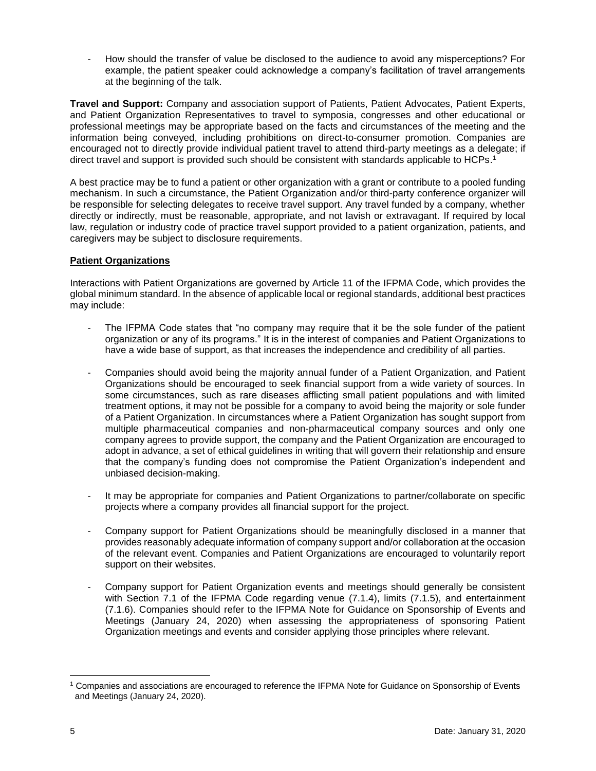- How should the transfer of value be disclosed to the audience to avoid any misperceptions? For example, the patient speaker could acknowledge a company's facilitation of travel arrangements at the beginning of the talk.

**Travel and Support:** Company and association support of Patients, Patient Advocates, Patient Experts, and Patient Organization Representatives to travel to symposia, congresses and other educational or professional meetings may be appropriate based on the facts and circumstances of the meeting and the information being conveyed, including prohibitions on direct-to-consumer promotion. Companies are encouraged not to directly provide individual patient travel to attend third-party meetings as a delegate; if direct travel and support is provided such should be consistent with standards applicable to HCPs. 1

A best practice may be to fund a patient or other organization with a grant or contribute to a pooled funding mechanism. In such a circumstance, the Patient Organization and/or third-party conference organizer will be responsible for selecting delegates to receive travel support. Any travel funded by a company, whether directly or indirectly, must be reasonable, appropriate, and not lavish or extravagant. If required by local law, regulation or industry code of practice travel support provided to a patient organization, patients, and caregivers may be subject to disclosure requirements.

## **Patient Organizations**

Interactions with Patient Organizations are governed by Article 11 of the IFPMA Code, which provides the global minimum standard. In the absence of applicable local or regional standards, additional best practices may include:

- The IFPMA Code states that "no company may require that it be the sole funder of the patient organization or any of its programs." It is in the interest of companies and Patient Organizations to have a wide base of support, as that increases the independence and credibility of all parties.
- Companies should avoid being the majority annual funder of a Patient Organization, and Patient Organizations should be encouraged to seek financial support from a wide variety of sources. In some circumstances, such as rare diseases afflicting small patient populations and with limited treatment options, it may not be possible for a company to avoid being the majority or sole funder of a Patient Organization. In circumstances where a Patient Organization has sought support from multiple pharmaceutical companies and non-pharmaceutical company sources and only one company agrees to provide support, the company and the Patient Organization are encouraged to adopt in advance, a set of ethical guidelines in writing that will govern their relationship and ensure that the company's funding does not compromise the Patient Organization's independent and unbiased decision-making.
- It may be appropriate for companies and Patient Organizations to partner/collaborate on specific projects where a company provides all financial support for the project.
- Company support for Patient Organizations should be meaningfully disclosed in a manner that provides reasonably adequate information of company support and/or collaboration at the occasion of the relevant event. Companies and Patient Organizations are encouraged to voluntarily report support on their websites.
- Company support for Patient Organization events and meetings should generally be consistent with Section 7.1 of the IFPMA Code regarding venue (7.1.4), limits (7.1.5), and entertainment (7.1.6). Companies should refer to the IFPMA Note for Guidance on Sponsorship of Events and Meetings (January 24, 2020) when assessing the appropriateness of sponsoring Patient Organization meetings and events and consider applying those principles where relevant.

 $\overline{\phantom{a}}$ <sup>1</sup> Companies and associations are encouraged to reference the IFPMA Note for Guidance on Sponsorship of Events and Meetings (January 24, 2020).